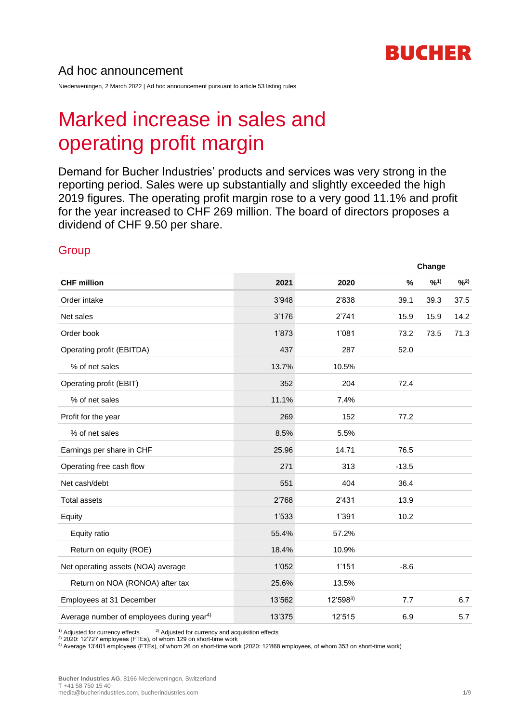

## Ad hoc announcement

Niederweningen, 2 March 2022 | Ad hoc announcement pursuant to article 53 listing rules

# Marked increase in sales and operating profit margin

Demand for Bucher Industries' products and services was very strong in the reporting period. Sales were up substantially and slightly exceeded the high 2019 figures. The operating profit margin rose to a very good 11.1% and profit for the year increased to CHF 269 million. The board of directors proposes a dividend of CHF 9.50 per share.

#### **Group**

| <b>CHF million</b>                                    |        |          |         |      | Change |  |  |
|-------------------------------------------------------|--------|----------|---------|------|--------|--|--|
|                                                       | 2021   | 2020     | $\%$    | 9/01 | 9/2)   |  |  |
| Order intake                                          | 3'948  | 2'838    | 39.1    | 39.3 | 37.5   |  |  |
| Net sales                                             | 3'176  | 2'741    | 15.9    | 15.9 | 14.2   |  |  |
| Order book                                            | 1'873  | 1'081    | 73.2    | 73.5 | 71.3   |  |  |
| Operating profit (EBITDA)                             | 437    | 287      | 52.0    |      |        |  |  |
| % of net sales                                        | 13.7%  | 10.5%    |         |      |        |  |  |
| Operating profit (EBIT)                               | 352    | 204      | 72.4    |      |        |  |  |
| % of net sales                                        | 11.1%  | 7.4%     |         |      |        |  |  |
| Profit for the year                                   | 269    | 152      | 77.2    |      |        |  |  |
| % of net sales                                        | 8.5%   | 5.5%     |         |      |        |  |  |
| Earnings per share in CHF                             | 25.96  | 14.71    | 76.5    |      |        |  |  |
| Operating free cash flow                              | 271    | 313      | $-13.5$ |      |        |  |  |
| Net cash/debt                                         | 551    | 404      | 36.4    |      |        |  |  |
| <b>Total assets</b>                                   | 2'768  | 2'431    | 13.9    |      |        |  |  |
| Equity                                                | 1'533  | 1'391    | 10.2    |      |        |  |  |
| Equity ratio                                          | 55.4%  | 57.2%    |         |      |        |  |  |
| Return on equity (ROE)                                | 18.4%  | 10.9%    |         |      |        |  |  |
| Net operating assets (NOA) average                    | 1'052  | 1'151    | $-8.6$  |      |        |  |  |
| Return on NOA (RONOA) after tax                       | 25.6%  | 13.5%    |         |      |        |  |  |
| Employees at 31 December                              | 13'562 | 12'5983) | 7.7     |      | 6.7    |  |  |
| Average number of employees during year <sup>4)</sup> | 13'375 | 12'515   | 6.9     |      | 5.7    |  |  |

 $1)$  Adjusted for currency effects  $2)$  Adjusted for currency and acquisition effects

3) 2020: 12'727 employees (FTEs), of whom 129 on short-time work

4) Average 13'401 employees (FTEs), of whom 26 on short-time work (2020: 12'868 employees, of whom 353 on short-time work)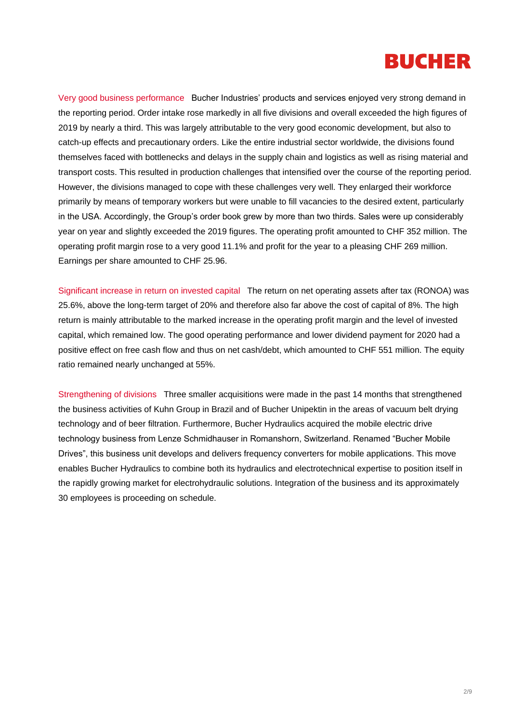

Very good business performance Bucher Industries' products and services enjoyed very strong demand in the reporting period. Order intake rose markedly in all five divisions and overall exceeded the high figures of 2019 by nearly a third. This was largely attributable to the very good economic development, but also to catch-up effects and precautionary orders. Like the entire industrial sector worldwide, the divisions found themselves faced with bottlenecks and delays in the supply chain and logistics as well as rising material and transport costs. This resulted in production challenges that intensified over the course of the reporting period. However, the divisions managed to cope with these challenges very well. They enlarged their workforce primarily by means of temporary workers but were unable to fill vacancies to the desired extent, particularly in the USA. Accordingly, the Group's order book grew by more than two thirds. Sales were up considerably year on year and slightly exceeded the 2019 figures. The operating profit amounted to CHF 352 million. The operating profit margin rose to a very good 11.1% and profit for the year to a pleasing CHF 269 million. Earnings per share amounted to CHF 25.96.

Significant increase in return on invested capital The return on net operating assets after tax (RONOA) was 25.6%, above the long-term target of 20% and therefore also far above the cost of capital of 8%. The high return is mainly attributable to the marked increase in the operating profit margin and the level of invested capital, which remained low. The good operating performance and lower dividend payment for 2020 had a positive effect on free cash flow and thus on net cash/debt, which amounted to CHF 551 million. The equity ratio remained nearly unchanged at 55%.

Strengthening of divisions Three smaller acquisitions were made in the past 14 months that strengthened the business activities of Kuhn Group in Brazil and of Bucher Unipektin in the areas of vacuum belt drying technology and of beer filtration. Furthermore, Bucher Hydraulics acquired the mobile electric drive technology business from Lenze Schmidhauser in Romanshorn, Switzerland. Renamed "Bucher Mobile Drives", this business unit develops and delivers frequency converters for mobile applications. This move enables Bucher Hydraulics to combine both its hydraulics and electrotechnical expertise to position itself in the rapidly growing market for electrohydraulic solutions. Integration of the business and its approximately 30 employees is proceeding on schedule.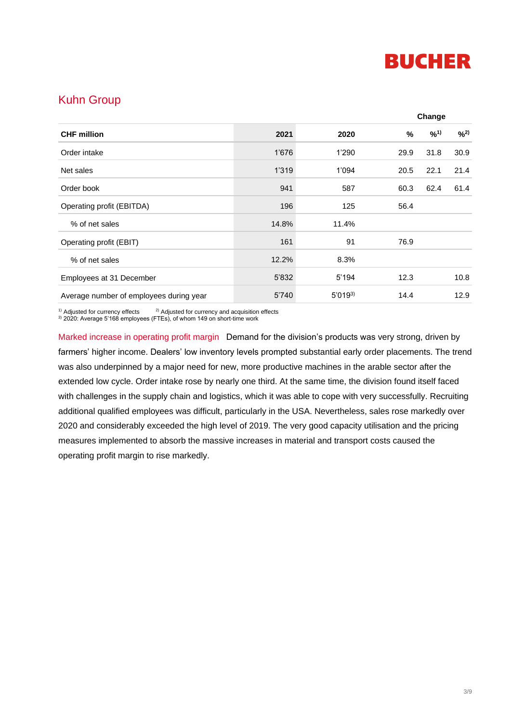

# Kuhn Group

| <b>CHF</b> million                      |       |             |      | Change   |      |
|-----------------------------------------|-------|-------------|------|----------|------|
|                                         | 2021  | 2020        | %    | $^{9/1}$ | 9/2) |
| Order intake                            | 1'676 | 1'290       | 29.9 | 31.8     | 30.9 |
| Net sales                               | 1'319 | 1'094       | 20.5 | 22.1     | 21.4 |
| Order book                              | 941   | 587         | 60.3 | 62.4     | 61.4 |
| Operating profit (EBITDA)               | 196   | 125         | 56.4 |          |      |
| % of net sales                          | 14.8% | 11.4%       |      |          |      |
| Operating profit (EBIT)                 | 161   | 91          | 76.9 |          |      |
| % of net sales                          | 12.2% | 8.3%        |      |          |      |
| Employees at 31 December                | 5'832 | 5'194       | 12.3 |          | 10.8 |
| Average number of employees during year | 5'740 | $5'019^{3}$ | 14.4 |          | 12.9 |

<sup>1)</sup> Adjusted for currency effects  $2)$  Adjusted for currency and acquisition effects

 $3$ ) 2020: Average 5'168 employees (FTEs), of whom 149 on short-time work

Marked increase in operating profit margin Demand for the division's products was very strong, driven by farmers' higher income. Dealers' low inventory levels prompted substantial early order placements. The trend was also underpinned by a major need for new, more productive machines in the arable sector after the extended low cycle. Order intake rose by nearly one third. At the same time, the division found itself faced with challenges in the supply chain and logistics, which it was able to cope with very successfully. Recruiting additional qualified employees was difficult, particularly in the USA. Nevertheless, sales rose markedly over 2020 and considerably exceeded the high level of 2019. The very good capacity utilisation and the pricing measures implemented to absorb the massive increases in material and transport costs caused the operating profit margin to rise markedly.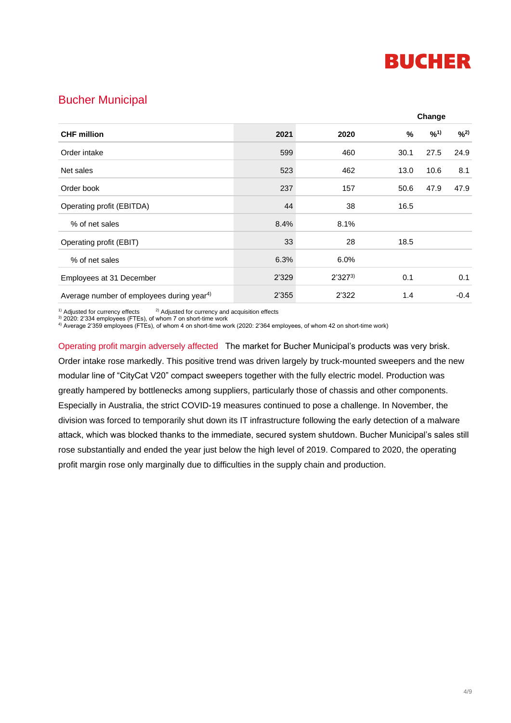

## Bucher Municipal

| <b>CHF million</b>                                    |       |             |      | Change |      |  |
|-------------------------------------------------------|-------|-------------|------|--------|------|--|
|                                                       | 2021  | 2020        | %    | 9/01   | 9/2) |  |
| Order intake                                          | 599   | 460         | 30.1 | 27.5   | 24.9 |  |
| Net sales                                             | 523   | 462         | 13.0 | 10.6   | 8.1  |  |
| Order book                                            | 237   | 157         | 50.6 | 47.9   | 47.9 |  |
| Operating profit (EBITDA)                             | 44    | 38          | 16.5 |        |      |  |
| % of net sales                                        | 8.4%  | 8.1%        |      |        |      |  |
| Operating profit (EBIT)                               | 33    | 28          | 18.5 |        |      |  |
| % of net sales                                        | 6.3%  | 6.0%        |      |        |      |  |
| Employees at 31 December                              | 2'329 | $2'327^{3}$ | 0.1  |        | 0.1  |  |
| Average number of employees during year <sup>4)</sup> | 2'355 | 2'322       | 1.4  |        | -0.4 |  |

<sup>1)</sup> Adjusted for currency effects  $2)$  Adjusted for currency and acquisition effects

 $3$ ) 2020: 2'334 employees (FTEs), of whom 7 on short-time work

4) Average 2'359 employees (FTEs), of whom 4 on short-time work (2020: 2'364 employees, of whom 42 on short-time work)

Operating profit margin adversely affected The market for Bucher Municipal's products was very brisk. Order intake rose markedly. This positive trend was driven largely by truck-mounted sweepers and the new modular line of "CityCat V20" compact sweepers together with the fully electric model. Production was greatly hampered by bottlenecks among suppliers, particularly those of chassis and other components. Especially in Australia, the strict COVID-19 measures continued to pose a challenge. In November, the division was forced to temporarily shut down its IT infrastructure following the early detection of a malware attack, which was blocked thanks to the immediate, secured system shutdown. Bucher Municipal's sales still rose substantially and ended the year just below the high level of 2019. Compared to 2020, the operating profit margin rose only marginally due to difficulties in the supply chain and production.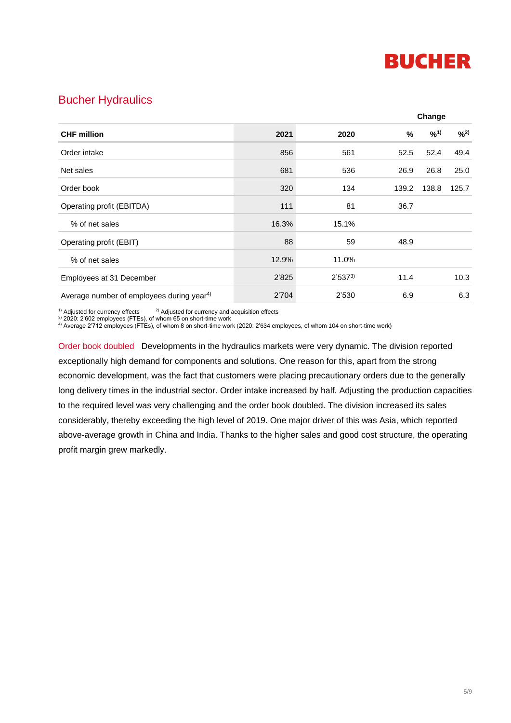

### Bucher Hydraulics

| <b>CHF</b> million                                    |       |             |       | Change |       |
|-------------------------------------------------------|-------|-------------|-------|--------|-------|
|                                                       | 2021  | 2020        | %     | 9/01   | 9/2)  |
| Order intake                                          | 856   | 561         | 52.5  | 52.4   | 49.4  |
| Net sales                                             | 681   | 536         | 26.9  | 26.8   | 25.0  |
| Order book                                            | 320   | 134         | 139.2 | 138.8  | 125.7 |
| Operating profit (EBITDA)                             | 111   | 81          | 36.7  |        |       |
| % of net sales                                        | 16.3% | 15.1%       |       |        |       |
| Operating profit (EBIT)                               | 88    | 59          | 48.9  |        |       |
| % of net sales                                        | 12.9% | 11.0%       |       |        |       |
| Employees at 31 December                              | 2'825 | $2'537^{3}$ | 11.4  |        | 10.3  |
| Average number of employees during year <sup>4)</sup> | 2'704 | 2'530       | 6.9   |        | 6.3   |

<sup>1)</sup> Adjusted for currency effects  $2)$  Adjusted for currency and acquisition effects

 $3)$  2020: 2'602 employees (FTEs), of whom 65 on short-time work

4) Average 2'712 employees (FTEs), of whom 8 on short-time work (2020: 2'634 employees, of whom 104 on short-time work)

Order book doubled Developments in the hydraulics markets were very dynamic. The division reported exceptionally high demand for components and solutions. One reason for this, apart from the strong economic development, was the fact that customers were placing precautionary orders due to the generally long delivery times in the industrial sector. Order intake increased by half. Adjusting the production capacities to the required level was very challenging and the order book doubled. The division increased its sales considerably, thereby exceeding the high level of 2019. One major driver of this was Asia, which reported above-average growth in China and India. Thanks to the higher sales and good cost structure, the operating profit margin grew markedly.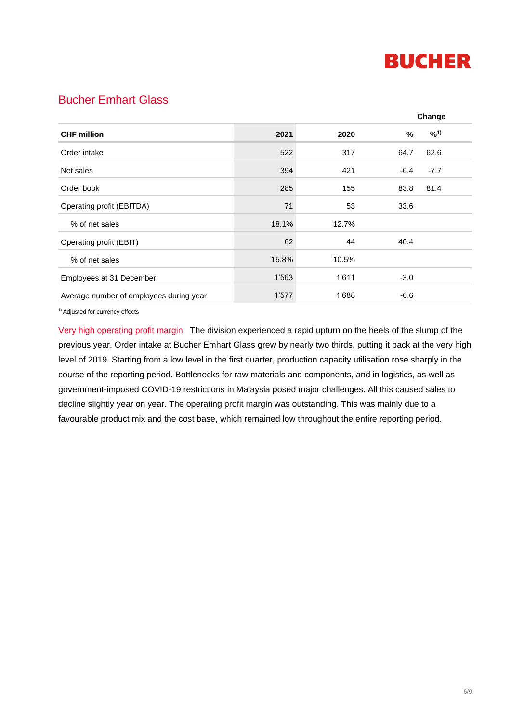

# Bucher Emhart Glass

|                                         |       |       |        | Change |
|-----------------------------------------|-------|-------|--------|--------|
| <b>CHF million</b>                      | 2021  | 2020  | %      | 9/01   |
| Order intake                            | 522   | 317   | 64.7   | 62.6   |
| Net sales                               | 394   | 421   | $-6.4$ | $-7.7$ |
| Order book                              | 285   | 155   | 83.8   | 81.4   |
| Operating profit (EBITDA)               | 71    | 53    | 33.6   |        |
| % of net sales                          | 18.1% | 12.7% |        |        |
| Operating profit (EBIT)                 | 62    | 44    | 40.4   |        |
| % of net sales                          | 15.8% | 10.5% |        |        |
| Employees at 31 December                | 1'563 | 1'611 | $-3.0$ |        |
| Average number of employees during year | 1'577 | 1'688 | $-6.6$ |        |

1) Adjusted for currency effects

Very high operating profit margin The division experienced a rapid upturn on the heels of the slump of the previous year. Order intake at Bucher Emhart Glass grew by nearly two thirds, putting it back at the very high level of 2019. Starting from a low level in the first quarter, production capacity utilisation rose sharply in the course of the reporting period. Bottlenecks for raw materials and components, and in logistics, as well as government-imposed COVID-19 restrictions in Malaysia posed major challenges. All this caused sales to decline slightly year on year. The operating profit margin was outstanding. This was mainly due to a favourable product mix and the cost base, which remained low throughout the entire reporting period.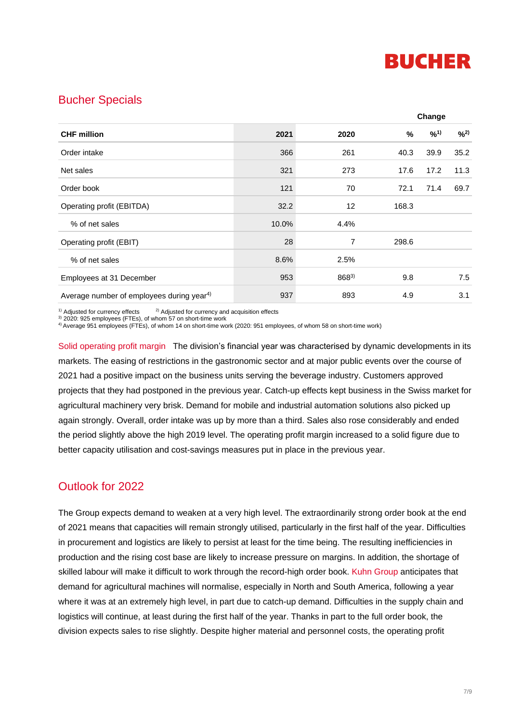

### Bucher Specials

| <b>CHF</b> million                                    |       |       |               | Change |      |  |
|-------------------------------------------------------|-------|-------|---------------|--------|------|--|
|                                                       | 2021  | 2020  | $\frac{9}{6}$ | 9/01   | 9/2) |  |
| Order intake                                          | 366   | 261   | 40.3          | 39.9   | 35.2 |  |
| Net sales                                             | 321   | 273   | 17.6          | 17.2   | 11.3 |  |
| Order book                                            | 121   | 70    | 72.1          | 71.4   | 69.7 |  |
| Operating profit (EBITDA)                             | 32.2  | 12    | 168.3         |        |      |  |
| % of net sales                                        | 10.0% | 4.4%  |               |        |      |  |
| Operating profit (EBIT)                               | 28    | 7     | 298.6         |        |      |  |
| % of net sales                                        | 8.6%  | 2.5%  |               |        |      |  |
| Employees at 31 December                              | 953   | 8683) | 9.8           |        | 7.5  |  |
| Average number of employees during year <sup>4)</sup> | 937   | 893   | 4.9           |        | 3.1  |  |

<sup>1)</sup> Adjusted for currency effects  $2)$  Adjusted for currency and acquisition effects

<sup>3)</sup> 2020: 925 employees (FTEs), of whom 57 on short-time work

4) Average 951 employees (FTEs), of whom 14 on short-time work (2020: 951 employees, of whom 58 on short-time work)

Solid operating profit margin The division's financial year was characterised by dynamic developments in its markets. The easing of restrictions in the gastronomic sector and at major public events over the course of 2021 had a positive impact on the business units serving the beverage industry. Customers approved projects that they had postponed in the previous year. Catch-up effects kept business in the Swiss market for agricultural machinery very brisk. Demand for mobile and industrial automation solutions also picked up again strongly. Overall, order intake was up by more than a third. Sales also rose considerably and ended the period slightly above the high 2019 level. The operating profit margin increased to a solid figure due to better capacity utilisation and cost-savings measures put in place in the previous year.

# Outlook for 2022

The Group expects demand to weaken at a very high level. The extraordinarily strong order book at the end of 2021 means that capacities will remain strongly utilised, particularly in the first half of the year. Difficulties in procurement and logistics are likely to persist at least for the time being. The resulting inefficiencies in production and the rising cost base are likely to increase pressure on margins. In addition, the shortage of skilled labour will make it difficult to work through the record-high order book. Kuhn Group anticipates that demand for agricultural machines will normalise, especially in North and South America, following a year where it was at an extremely high level, in part due to catch-up demand. Difficulties in the supply chain and logistics will continue, at least during the first half of the year. Thanks in part to the full order book, the division expects sales to rise slightly. Despite higher material and personnel costs, the operating profit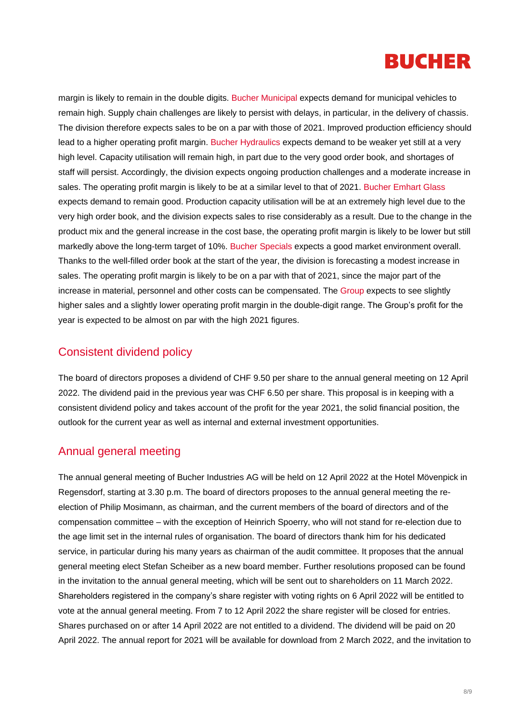

margin is likely to remain in the double digits. Bucher Municipal expects demand for municipal vehicles to remain high. Supply chain challenges are likely to persist with delays, in particular, in the delivery of chassis. The division therefore expects sales to be on a par with those of 2021. Improved production efficiency should lead to a higher operating profit margin. Bucher Hydraulics expects demand to be weaker yet still at a very high level. Capacity utilisation will remain high, in part due to the very good order book, and shortages of staff will persist. Accordingly, the division expects ongoing production challenges and a moderate increase in sales. The operating profit margin is likely to be at a similar level to that of 2021. Bucher Emhart Glass expects demand to remain good. Production capacity utilisation will be at an extremely high level due to the very high order book, and the division expects sales to rise considerably as a result. Due to the change in the product mix and the general increase in the cost base, the operating profit margin is likely to be lower but still markedly above the long-term target of 10%. Bucher Specials expects a good market environment overall. Thanks to the well-filled order book at the start of the year, the division is forecasting a modest increase in sales. The operating profit margin is likely to be on a par with that of 2021, since the major part of the increase in material, personnel and other costs can be compensated. The Group expects to see slightly higher sales and a slightly lower operating profit margin in the double-digit range. The Group's profit for the year is expected to be almost on par with the high 2021 figures.

#### Consistent dividend policy

The board of directors proposes a dividend of CHF 9.50 per share to the annual general meeting on 12 April 2022. The dividend paid in the previous year was CHF 6.50 per share. This proposal is in keeping with a consistent dividend policy and takes account of the profit for the year 2021, the solid financial position, the outlook for the current year as well as internal and external investment opportunities.

#### Annual general meeting

The annual general meeting of Bucher Industries AG will be held on 12 April 2022 at the Hotel Mövenpick in Regensdorf, starting at 3.30 p.m. The board of directors proposes to the annual general meeting the reelection of Philip Mosimann, as chairman, and the current members of the board of directors and of the compensation committee – with the exception of Heinrich Spoerry, who will not stand for re-election due to the age limit set in the internal rules of organisation. The board of directors thank him for his dedicated service, in particular during his many years as chairman of the audit committee. It proposes that the annual general meeting elect Stefan Scheiber as a new board member. Further resolutions proposed can be found in the invitation to the annual general meeting, which will be sent out to shareholders on 11 March 2022. Shareholders registered in the company's share register with voting rights on 6 April 2022 will be entitled to vote at the annual general meeting. From 7 to 12 April 2022 the share register will be closed for entries. Shares purchased on or after 14 April 2022 are not entitled to a dividend. The dividend will be paid on 20 April 2022. The annual report for 2021 will be available for download from 2 March 2022, and the invitation to